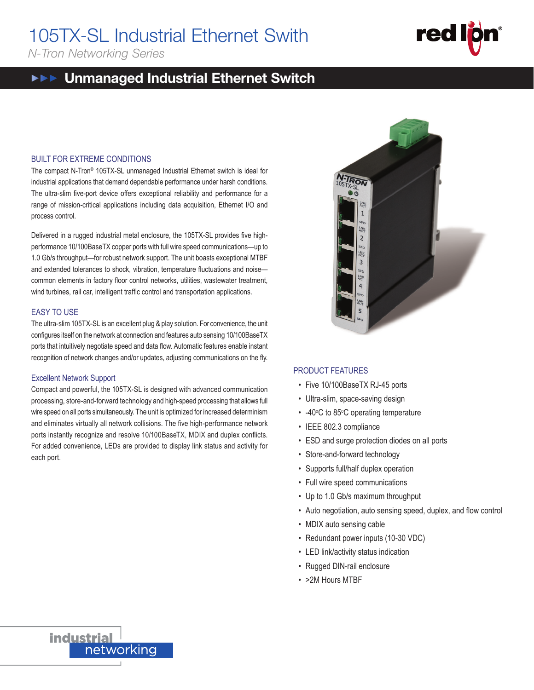# 105TX-SL Industrial Ethernet Swith  $\frac{1}{\sqrt{2}}$

*N-Tron Networking Series*

### Unmanaged Industrial Ethernet Switch 100 SERIES

### BUILT FOR EXTREME CONDITIONS

 $T$ he compact N-Tron® 105TX-SL unmanaged Industrial Ethernet switch is ideal for industrial applications that demand dependable performance under harsh conditions. The ultra-slim five-port device offers exceptional reliability and performance for a range of mission-critical applications including data acquisition, Ethernet I/O and process control.

Delivered in a rugged industrial metal enclosure, the 105TX-SL provides five highperformance 10/100BaseTX copper ports with full wire speed communications—up to 1.0 Gb/s throughput—for robust network support. The unit boasts exceptional MTBF and extended tolerances to shock, vibration, temperature fluctuations and noise common elements in factory floor control networks, utilities, wastewater treatment,<br>Und turbings, sail are intelligent treffs control and transportation conligations. wind turbines, rail car, intelligent traffic control and transportation applications. rige of mission-entical applications including data acquisition, Ethern<br>rocess control.<br>elivered in a rugged industrial metal enclosure, the 105TX-SL provides<br>erformance 10/100BaseTX copper ports with full wire speed commu

### EASY TO USE

The ultra-slim 105TX-SL is an excellent plug & play solution. For convenience, the unit configures itself on the network at connection and features auto sensing 10/100BaseTX ports that intuitively negotiate speed and data flow. Automatic features enable instant recognition of network changes and/or updates, adjusting communications on the fly.

#### Excellent Network Support

Excenent Network Support<br>Compact and powerful, the 105TX-SL is designed with advanced communication processing, store-and-forward technology and high-speed processing that allows full wire speed on all ports simultaneously. The unit is optimized for increased determinism and eliminates virtually all network collisions. The five high-performance network ports instantly recognize and resolve 10/100BaseTX, MDIX and duplex conflicts.<br>F For added convenience, LEDs are provided to display link status and activity for each port. • IEEE 802.3 compliance each port.



red

### **Extractions:**<br>PRODUCT FEATURES

- munication Five 10/100BaseTX RJ-45 ports
- manication<br><sub>at allows full</sub> Ultra-slim, space-saving design
- eterminism -40°C to 85°C operating temperature
- ce network **can accurate of mission-critical application-critical activities** including data acquisition, etherne
	- ESD and surge protection diodes on all ports
	- Store-and-forward technology
- Supports full/half duplex operation
- Full wire speed communications
- $\cdot$  Up to 1.0 Gb/s maximum throughput
- Auto negotiation, auto sensing speed, duplex, and flow control
- MDIX auto sensing cable
- Redundant power inputs (10-30 VDC)
	- LED link/activity status indication
	- Rugged DIN-rail enclosure
- $\cdot$  >2M Hours MTBF



• Rugged DIN-rail enclosure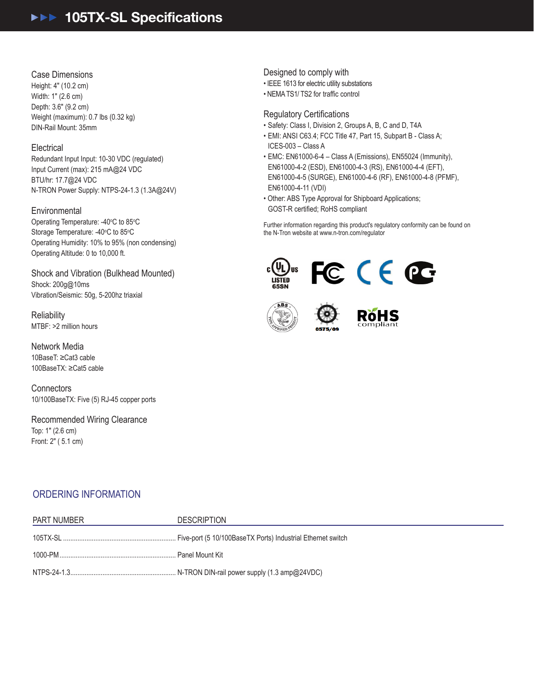## ▶▶▶ 105TX-SL Specifications

### Case Dimensions

Height: 4" (10.2 cm) Width: 1" (2.6 cm) Depth: 3.6" (9.2 cm) Weight (maximum): 0.7 lbs (0.32 kg) DIN-Rail Mount: 35mm

### **Electrical**

Redundant Input Input: 10-30 VDC (regulated) Input Current (max): 215 mA@24 VDC BTU/hr: 17.7@24 VDC N-TRON Power Supply: NTPS-24-1.3 (1.3A@24V)

### **Environmental**

Operating Temperature: -40°C to 85°C Storage Temperature: -40°C to 85°C Operating Humidity: 10% to 95% (non condensing) Operating Altitude: 0 to 10,000 ft.

Shock and Vibration (Bulkhead Mounted) Shock: 200g@10ms Vibration/Seismic: 50g, 5-200hz triaxial

**Reliability** MTBF: >2 million hours

Network Media 10BaseT: ≥Cat3 cable 100BaseTX: ≥Cat5 cable

**Connectors** 10/100BaseTX: Five (5) RJ-45 copper ports

Recommended Wiring Clearance Top: 1" (2.6 cm) Front: 2" (5.1 cm)

Designed to comply with

- IEEE 1613 for electric utility substations
- NEMATS1/ TS2 for traffic control

### Regulatory Certifications

- Safety: Class I, Division 2, Groups A, B, C and D, T4A
- EMI: ANSI C63.4; FCC Title 47, Part 15, Subpart B Class A; ICES-003 – Class A
- EMC: EN61000-6-4 Class A (Emissions), EN55024 (Immunity), EN61000-4-2 (ESD), EN61000-4-3 (RS), EN61000-4-4 (EFT), EN61000-4-5 (SURGE), EN61000-4-6 (RF), EN61000-4-8 (PFMF), EN61000-4-11 (VDI)
- Other: ABS Type Approval for Shipboard Applications; GOST-R certified; RoHS compliant

Further information regarding this product's regulatory conformity can be found on the N-Tron website at www.n-tron.com/regulator



### ORDERING INFORMATION

| PART NUMBER | <b>DESCRIPTION</b> |
|-------------|--------------------|
|             |                    |
|             |                    |
|             |                    |